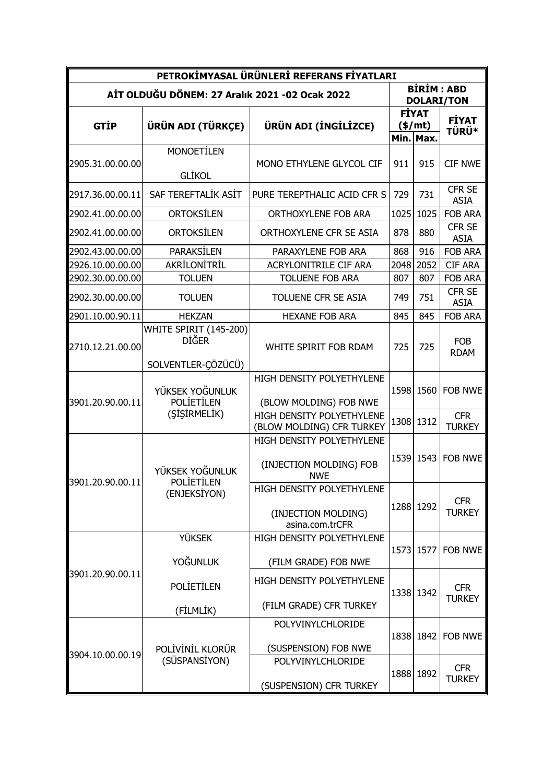| PETROKİMYASAL ÜRÜNLERİ REFERANS FİYATLARI      |                                                              |                                                                                  |      |                                                    |                                        |  |  |  |  |
|------------------------------------------------|--------------------------------------------------------------|----------------------------------------------------------------------------------|------|----------------------------------------------------|----------------------------------------|--|--|--|--|
| AİT OLDUĞU DÖNEM: 27 Aralık 2021 -02 Ocak 2022 |                                                              |                                                                                  |      |                                                    | <b>BİRİM: ABD</b><br><b>DOLARI/TON</b> |  |  |  |  |
| <b>GTIP</b>                                    | ÜRÜN ADI (TÜRKÇE)                                            | ÜRÜN ADI (İNGİLİZCE)                                                             |      | <b>FİYAT</b><br>$(\frac{\epsilon}{m}$<br>Min. Max. | <b>FİYAT</b><br><b>TÜRÜ*</b>           |  |  |  |  |
| 2905.31.00.00.00                               | <b>MONOETİLEN</b><br><b>GLİKOL</b>                           | MONO ETHYLENE GLYCOL CIF                                                         | 911  | 915                                                | <b>CIF NWE</b>                         |  |  |  |  |
| 2917.36.00.00.11                               | SAF TEREFTALİK ASİT                                          | PURE TEREPTHALIC ACID CFR S                                                      | 729  | 731                                                | <b>CFR SE</b><br><b>ASIA</b>           |  |  |  |  |
| 2902.41.00.00.00                               | <b>ORTOKSİLEN</b>                                            | ORTHOXYLENE FOB ARA                                                              | 1025 | 1025                                               | <b>FOB ARA</b>                         |  |  |  |  |
| 2902.41.00.00.00                               | <b>ORTOKSİLEN</b>                                            | ORTHOXYLENE CFR SE ASIA                                                          | 878  | 880                                                | CFR SE<br><b>ASIA</b>                  |  |  |  |  |
| 2902.43.00.00.00                               | <b>PARAKSİLEN</b>                                            | PARAXYLENE FOB ARA                                                               | 868  | 916                                                | <b>FOB ARA</b>                         |  |  |  |  |
| 2926.10.00.00.00                               | AKRİLONİTRİL                                                 | ACRYLONITRILE CIF ARA                                                            | 2048 | 2052                                               | <b>CIF ARA</b>                         |  |  |  |  |
| 2902.30.00.00.00                               | <b>TOLUEN</b>                                                | <b>TOLUENE FOB ARA</b>                                                           | 807  | 807                                                | <b>FOB ARA</b>                         |  |  |  |  |
| 2902.30.00.00.00                               | <b>TOLUEN</b>                                                | TOLUENE CFR SE ASIA                                                              | 749  | 751                                                | CFR SE<br><b>ASIA</b>                  |  |  |  |  |
| 2901.10.00.90.11                               | <b>HEKZAN</b>                                                | <b>HEXANE FOB ARA</b>                                                            | 845  | 845                                                | <b>FOB ARA</b>                         |  |  |  |  |
| 2710.12.21.00.00                               | WHITE SPIRIT (145-200)<br><b>DIĞER</b><br>SOLVENTLER-ÇÖZÜCÜ) | WHITE SPIRIT FOB RDAM                                                            | 725  | 725                                                | <b>FOB</b><br><b>RDAM</b>              |  |  |  |  |
| 3901.20.90.00.11                               | YÜKSEK YOĞUNLUK<br><b>POLIETILEN</b><br>(SISIRMELIK)         | HIGH DENSITY POLYETHYLENE<br>(BLOW MOLDING) FOB NWE<br>HIGH DENSITY POLYETHYLENE | 1598 | 1560                                               | <b>FOB NWE</b><br><b>CFR</b>           |  |  |  |  |
|                                                |                                                              | (BLOW MOLDING) CFR TURKEY                                                        |      | 1308 1312                                          | <b>TURKEY</b>                          |  |  |  |  |
| 3901.20.90.00.11                               | YÜKSEK YOĞUNLUK<br><b>POLIETILEN</b><br>(ENJEKSİYON)         | HIGH DENSITY POLYETHYLENE<br>(INJECTION MOLDING) FOB<br><b>NWE</b>               |      | 1539 1543                                          | <b>FOB NWE</b>                         |  |  |  |  |
|                                                |                                                              | HIGH DENSITY POLYETHYLENE<br>(INJECTION MOLDING)<br>asina.com.trCFR              |      | 1288 1292                                          | <b>CFR</b><br><b>TURKEY</b>            |  |  |  |  |
| 3901.20.90.00.11                               | <b>YÜKSEK</b><br>YOĞUNLUK                                    | HIGH DENSITY POLYETHYLENE<br>(FILM GRADE) FOB NWE                                |      | 1573 1577                                          | FOB NWE                                |  |  |  |  |
|                                                | <b>POLIETILEN</b>                                            | HIGH DENSITY POLYETHYLENE<br>(FILM GRADE) CFR TURKEY                             |      | 1338 1342                                          | <b>CFR</b><br><b>TURKEY</b>            |  |  |  |  |
|                                                | (FİLMLİK)                                                    |                                                                                  |      |                                                    |                                        |  |  |  |  |
| 3904.10.00.00.19                               | POLİVİNİL KLORÜR<br>(SÜSPANSİYON)                            | POLYVINYLCHLORIDE<br>(SUSPENSION) FOB NWE                                        |      | 1838 1842                                          | FOB NWE                                |  |  |  |  |
|                                                |                                                              | POLYVINYLCHLORIDE<br>(SUSPENSION) CFR TURKEY                                     | 1888 | 1892                                               | <b>CFR</b><br><b>TURKEY</b>            |  |  |  |  |